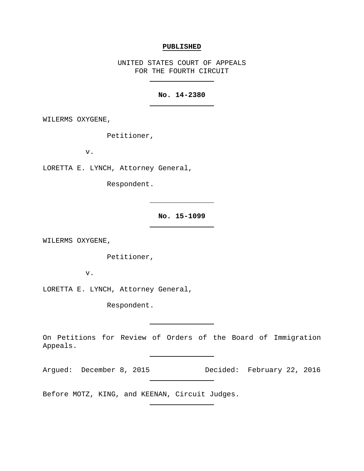#### **PUBLISHED**

UNITED STATES COURT OF APPEALS FOR THE FOURTH CIRCUIT

# **No. 14-2380**

WILERMS OXYGENE,

Petitioner,

v.

LORETTA E. LYNCH, Attorney General,

Respondent.

**No. 15-1099**

WILERMS OXYGENE,

Petitioner,

v.

LORETTA E. LYNCH, Attorney General,

Respondent.

On Petitions for Review of Orders of the Board of Immigration Appeals.

Argued: December 8, 2015 Decided: February 22, 2016

Before MOTZ, KING, and KEENAN, Circuit Judges.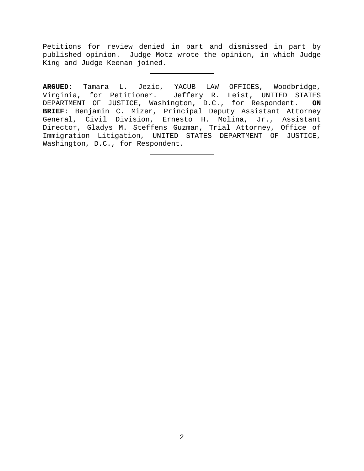Petitions for review denied in part and dismissed in part by published opinion. Judge Motz wrote the opinion, in which Judge King and Judge Keenan joined.

**ARGUED**: Tamara L. Jezic, YACUB LAW OFFICES, Woodbridge, Jeffery R. Leist, UNITED STATES DEPARTMENT OF JUSTICE, Washington, D.C., for Respondent. **ON BRIEF**: Benjamin C. Mizer, Principal Deputy Assistant Attorney General, Civil Division, Ernesto H. Molina, Jr., Assistant Director, Gladys M. Steffens Guzman, Trial Attorney, Office of Immigration Litigation, UNITED STATES DEPARTMENT OF JUSTICE, Washington, D.C., for Respondent.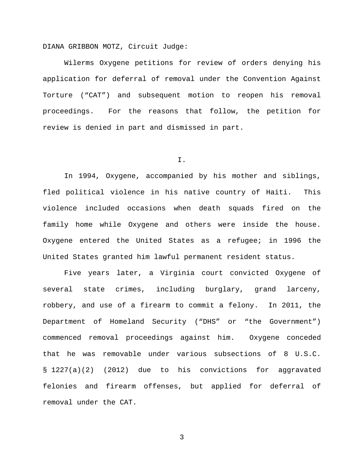DIANA GRIBBON MOTZ, Circuit Judge:

Wilerms Oxygene petitions for review of orders denying his application for deferral of removal under the Convention Against Torture ("CAT") and subsequent motion to reopen his removal proceedings. For the reasons that follow, the petition for review is denied in part and dismissed in part.

I.

In 1994, Oxygene, accompanied by his mother and siblings, fled political violence in his native country of Haiti. This violence included occasions when death squads fired on the family home while Oxygene and others were inside the house. Oxygene entered the United States as a refugee; in 1996 the United States granted him lawful permanent resident status.

Five years later, a Virginia court convicted Oxygene of several state crimes, including burglary, grand larceny, robbery, and use of a firearm to commit a felony. In 2011, the Department of Homeland Security ("DHS" or "the Government") commenced removal proceedings against him. Oxygene conceded that he was removable under various subsections of 8 U.S.C. § 1227(a)(2) (2012) due to his convictions for aggravated felonies and firearm offenses, but applied for deferral of removal under the CAT.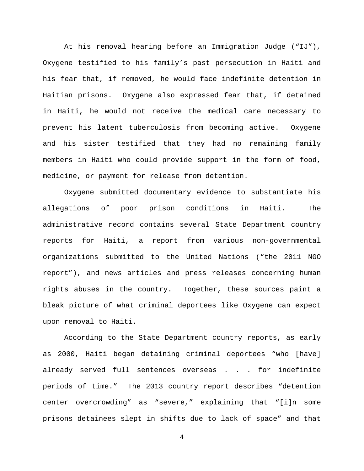At his removal hearing before an Immigration Judge ("IJ"), Oxygene testified to his family's past persecution in Haiti and his fear that, if removed, he would face indefinite detention in Haitian prisons. Oxygene also expressed fear that, if detained in Haiti, he would not receive the medical care necessary to prevent his latent tuberculosis from becoming active. Oxygene and his sister testified that they had no remaining family members in Haiti who could provide support in the form of food, medicine, or payment for release from detention.

Oxygene submitted documentary evidence to substantiate his allegations of poor prison conditions in Haiti. The administrative record contains several State Department country reports for Haiti, a report from various non-governmental organizations submitted to the United Nations ("the 2011 NGO report"), and news articles and press releases concerning human rights abuses in the country. Together, these sources paint a bleak picture of what criminal deportees like Oxygene can expect upon removal to Haiti.

According to the State Department country reports, as early as 2000, Haiti began detaining criminal deportees "who [have] already served full sentences overseas . . . for indefinite periods of time." The 2013 country report describes "detention center overcrowding" as "severe," explaining that "[i]n some prisons detainees slept in shifts due to lack of space" and that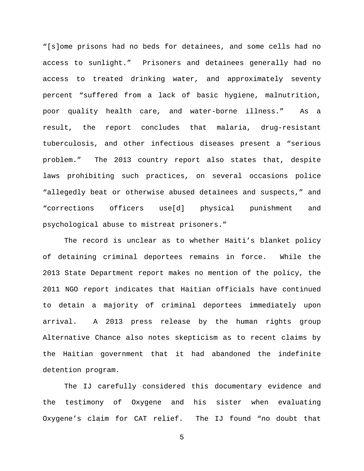"[s]ome prisons had no beds for detainees, and some cells had no access to sunlight." Prisoners and detainees generally had no access to treated drinking water, and approximately seventy percent "suffered from a lack of basic hygiene, malnutrition, poor quality health care, and water-borne illness." As a result, the report concludes that malaria, drug-resistant tuberculosis, and other infectious diseases present a "serious problem." The 2013 country report also states that, despite laws prohibiting such practices, on several occasions police "allegedly beat or otherwise abused detainees and suspects," and "corrections officers use[d] physical punishment and psychological abuse to mistreat prisoners."

The record is unclear as to whether Haiti's blanket policy of detaining criminal deportees remains in force. While the 2013 State Department report makes no mention of the policy, the 2011 NGO report indicates that Haitian officials have continued to detain a majority of criminal deportees immediately upon arrival. A 2013 press release by the human rights group Alternative Chance also notes skepticism as to recent claims by the Haitian government that it had abandoned the indefinite detention program.

The IJ carefully considered this documentary evidence and the testimony of Oxygene and his sister when evaluating Oxygene's claim for CAT relief. The IJ found "no doubt that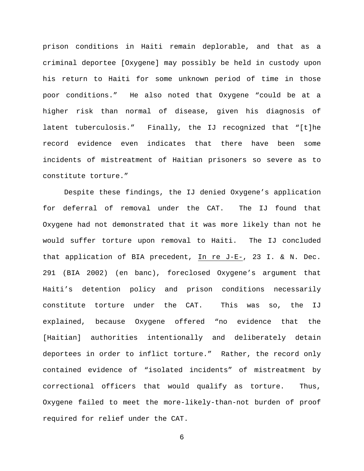prison conditions in Haiti remain deplorable, and that as a criminal deportee [Oxygene] may possibly be held in custody upon his return to Haiti for some unknown period of time in those poor conditions." He also noted that Oxygene "could be at a higher risk than normal of disease, given his diagnosis of latent tuberculosis." Finally, the IJ recognized that "[t]he record evidence even indicates that there have been some incidents of mistreatment of Haitian prisoners so severe as to constitute torture."

Despite these findings, the IJ denied Oxygene's application for deferral of removal under the CAT. The IJ found that Oxygene had not demonstrated that it was more likely than not he would suffer torture upon removal to Haiti. The IJ concluded that application of BIA precedent, In re J-E-, 23 I. & N. Dec. 291 (BIA 2002) (en banc), foreclosed Oxygene's argument that Haiti's detention policy and prison conditions necessarily constitute torture under the CAT. This was so, the IJ explained, because Oxygene offered "no evidence that the [Haitian] authorities intentionally and deliberately detain deportees in order to inflict torture." Rather, the record only contained evidence of "isolated incidents" of mistreatment by correctional officers that would qualify as torture. Thus, Oxygene failed to meet the more-likely-than-not burden of proof required for relief under the CAT.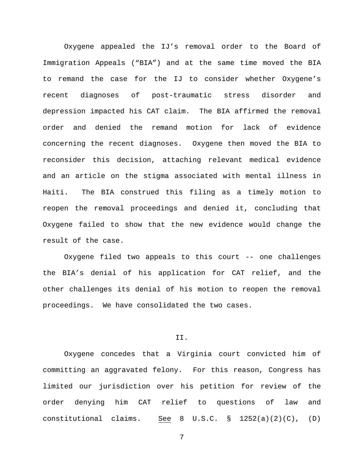Oxygene appealed the IJ's removal order to the Board of Immigration Appeals ("BIA") and at the same time moved the BIA to remand the case for the IJ to consider whether Oxygene's recent diagnoses of post-traumatic stress disorder and depression impacted his CAT claim. The BIA affirmed the removal order and denied the remand motion for lack of evidence concerning the recent diagnoses. Oxygene then moved the BIA to reconsider this decision, attaching relevant medical evidence and an article on the stigma associated with mental illness in Haiti. The BIA construed this filing as a timely motion to reopen the removal proceedings and denied it, concluding that Oxygene failed to show that the new evidence would change the result of the case.

Oxygene filed two appeals to this court -- one challenges the BIA's denial of his application for CAT relief, and the other challenges its denial of his motion to reopen the removal proceedings. We have consolidated the two cases.

### II.

Oxygene concedes that a Virginia court convicted him of committing an aggravated felony. For this reason, Congress has limited our jurisdiction over his petition for review of the order denying him CAT relief to questions of law and constitutional claims. See 8 U.S.C. § 1252(a)(2)(C), (D)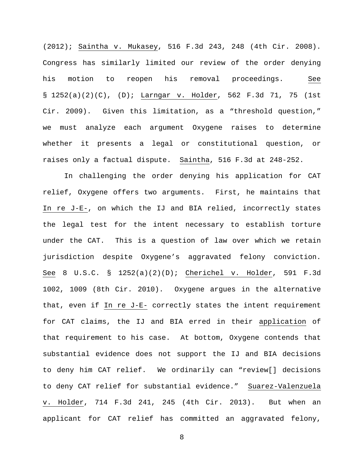(2012); Saintha v. Mukasey, 516 F.3d 243, 248 (4th Cir. 2008). Congress has similarly limited our review of the order denying his motion to reopen his removal proceedings. See § 1252(a)(2)(C), (D); Larngar v. Holder, 562 F.3d 71, 75 (1st Cir. 2009). Given this limitation, as a "threshold question," we must analyze each argument Oxygene raises to determine whether it presents a legal or constitutional question, or raises only a factual dispute. Saintha, 516 F.3d at 248-252.

In challenging the order denying his application for CAT relief, Oxygene offers two arguments. First, he maintains that In re J-E-, on which the IJ and BIA relied, incorrectly states the legal test for the intent necessary to establish torture under the CAT. This is a question of law over which we retain jurisdiction despite Oxygene's aggravated felony conviction. See 8 U.S.C. § 1252(a)(2)(D); Cherichel v. Holder, 591 F.3d 1002, 1009 (8th Cir. 2010). Oxygene argues in the alternative that, even if In re J-E- correctly states the intent requirement for CAT claims, the IJ and BIA erred in their application of that requirement to his case. At bottom, Oxygene contends that substantial evidence does not support the IJ and BIA decisions to deny him CAT relief. We ordinarily can "review[] decisions to deny CAT relief for substantial evidence." Suarez-Valenzuela v. Holder, 714 F.3d 241, 245 (4th Cir. 2013). But when an applicant for CAT relief has committed an aggravated felony,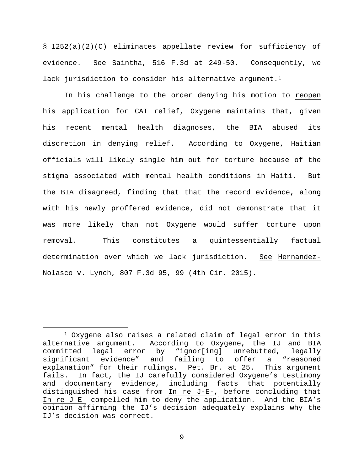§ 1252(a)(2)(C) eliminates appellate review for sufficiency of evidence. See Saintha, 516 F.3d at 249-50. Consequently, we lack jurisdiction to consider his alternative argument.<sup>1</sup>

In his challenge to the order denying his motion to reopen his application for CAT relief, Oxygene maintains that, given his recent mental health diagnoses, the BIA abused its discretion in denying relief. According to Oxygene, Haitian officials will likely single him out for torture because of the stigma associated with mental health conditions in Haiti. But the BIA disagreed, finding that that the record evidence, along with his newly proffered evidence, did not demonstrate that it was more likely than not Oxygene would suffer torture upon removal. This constitutes a quintessentially factual determination over which we lack jurisdiction. See Hernandez-Nolasco v. Lynch, 807 F.3d 95, 99 (4th Cir. 2015).

<span id="page-8-0"></span> <sup>1</sup> Oxygene also raises a related claim of legal error in this alternative argument. According to Oxygene, the IJ and BIA committed legal error by "ignor[ing] unrebutted, legally significant evidence" and failing to offer a "reasoned explanation" for their rulings. Pet. Br. at 25. This argument fails. In fact, the IJ carefully considered Oxygene's testimony and documentary evidence, including facts that potentially distinguished his case from In re J-E-, before concluding that In re J-E- compelled him to deny the application. And the BIA's opinion affirming the IJ's decision adequately explains why the IJ's decision was correct.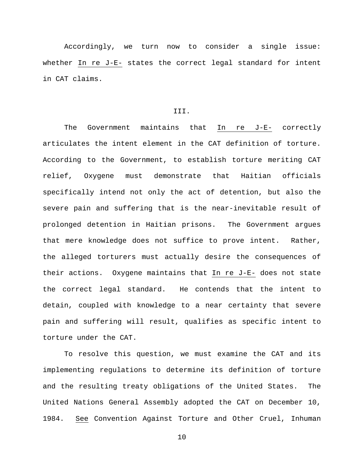Accordingly, we turn now to consider a single issue: whether In re J-E- states the correct legal standard for intent in CAT claims.

#### III.

The Government maintains that In re J-E- correctly articulates the intent element in the CAT definition of torture. According to the Government, to establish torture meriting CAT relief, Oxygene must demonstrate that Haitian officials specifically intend not only the act of detention, but also the severe pain and suffering that is the near-inevitable result of prolonged detention in Haitian prisons. The Government argues that mere knowledge does not suffice to prove intent. Rather, the alleged torturers must actually desire the consequences of their actions. Oxygene maintains that In re J-E- does not state the correct legal standard. He contends that the intent to detain, coupled with knowledge to a near certainty that severe pain and suffering will result, qualifies as specific intent to torture under the CAT.

To resolve this question, we must examine the CAT and its implementing regulations to determine its definition of torture and the resulting treaty obligations of the United States. The United Nations General Assembly adopted the CAT on December 10, 1984. See Convention Against Torture and Other Cruel, Inhuman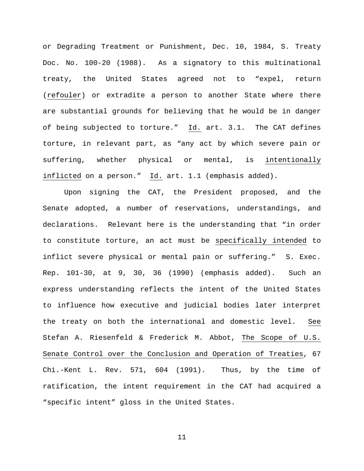or Degrading Treatment or Punishment, Dec. 10, 1984, S. Treaty Doc. No. 100-20 (1988). As a signatory to this multinational treaty, the United States agreed not to "expel, return (refouler) or extradite a person to another State where there are substantial grounds for believing that he would be in danger of being subjected to torture." Id. art. 3.1. The CAT defines torture, in relevant part, as "any act by which severe pain or suffering, whether physical or mental, is intentionally inflicted on a person." Id. art. 1.1 (emphasis added).

Upon signing the CAT, the President proposed, and the Senate adopted, a number of reservations, understandings, and declarations. Relevant here is the understanding that "in order to constitute torture, an act must be specifically intended to inflict severe physical or mental pain or suffering." S. Exec. Rep. 101-30, at 9, 30, 36 (1990) (emphasis added). Such an express understanding reflects the intent of the United States to influence how executive and judicial bodies later interpret the treaty on both the international and domestic level. See Stefan A. Riesenfeld & Frederick M. Abbot, The Scope of U.S. Senate Control over the Conclusion and Operation of Treaties, 67 Chi.-Kent L. Rev. 571, 604 (1991). Thus, by the time of ratification, the intent requirement in the CAT had acquired a "specific intent" gloss in the United States.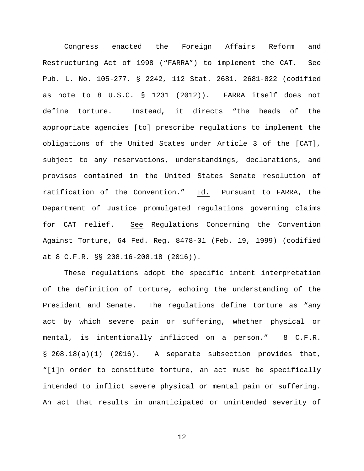Congress enacted the Foreign Affairs Reform and Restructuring Act of 1998 ("FARRA") to implement the CAT. See Pub. L. No. 105-277, § 2242, 112 Stat. 2681, 2681-822 (codified as note to 8 U.S.C. § 1231 (2012)). FARRA itself does not define torture. Instead, it directs "the heads of the appropriate agencies [to] prescribe regulations to implement the obligations of the United States under Article 3 of the [CAT], subject to any reservations, understandings, declarations, and provisos contained in the United States Senate resolution of ratification of the Convention." Id. Pursuant to FARRA, the Department of Justice promulgated regulations governing claims for CAT relief. See Regulations Concerning the Convention Against Torture, 64 Fed. Reg. 8478-01 (Feb. 19, 1999) (codified at 8 C.F.R. §§ 208.16-208.18 (2016)).

These regulations adopt the specific intent interpretation of the definition of torture, echoing the understanding of the President and Senate. The regulations define torture as "any act by which severe pain or suffering, whether physical or mental, is intentionally inflicted on a person." 8 C.F.R. § 208.18(a)(1) (2016). A separate subsection provides that, "[i]n order to constitute torture, an act must be specifically intended to inflict severe physical or mental pain or suffering. An act that results in unanticipated or unintended severity of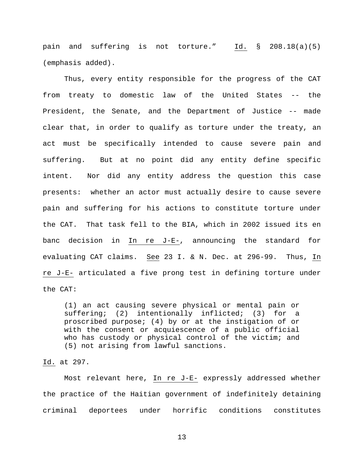pain and suffering is not torture." Id. § 208.18(a)(5) (emphasis added).

Thus, every entity responsible for the progress of the CAT from treaty to domestic law of the United States -- the President, the Senate, and the Department of Justice -- made clear that, in order to qualify as torture under the treaty, an act must be specifically intended to cause severe pain and suffering. But at no point did any entity define specific intent. Nor did any entity address the question this case presents: whether an actor must actually desire to cause severe pain and suffering for his actions to constitute torture under the CAT. That task fell to the BIA, which in 2002 issued its en banc decision in In re J-E-, announcing the standard for evaluating CAT claims. See 23 I. & N. Dec. at 296-99. Thus, In re J-E- articulated a five prong test in defining torture under the CAT:

(1) an act causing severe physical or mental pain or suffering; (2) intentionally inflicted; (3) for a proscribed purpose; (4) by or at the instigation of or with the consent or acquiescence of a public official who has custody or physical control of the victim; and (5) not arising from lawful sanctions.

### Id. at 297.

Most relevant here, In re J-E- expressly addressed whether the practice of the Haitian government of indefinitely detaining criminal deportees under horrific conditions constitutes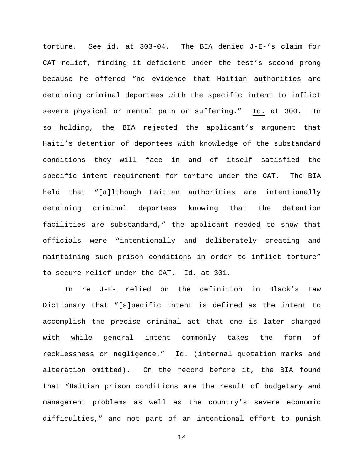torture. See id. at 303-04. The BIA denied J-E-'s claim for CAT relief, finding it deficient under the test's second prong because he offered "no evidence that Haitian authorities are detaining criminal deportees with the specific intent to inflict severe physical or mental pain or suffering." Id. at 300. In so holding, the BIA rejected the applicant's argument that Haiti's detention of deportees with knowledge of the substandard conditions they will face in and of itself satisfied the specific intent requirement for torture under the CAT. The BIA held that "[a]lthough Haitian authorities are intentionally detaining criminal deportees knowing that the detention facilities are substandard," the applicant needed to show that officials were "intentionally and deliberately creating and maintaining such prison conditions in order to inflict torture" to secure relief under the CAT. Id. at 301.

In re J-E- relied on the definition in Black's Law Dictionary that "[s]pecific intent is defined as the intent to accomplish the precise criminal act that one is later charged with while general intent commonly takes the form of recklessness or negligence." Id. (internal quotation marks and alteration omitted). On the record before it, the BIA found that "Haitian prison conditions are the result of budgetary and management problems as well as the country's severe economic difficulties," and not part of an intentional effort to punish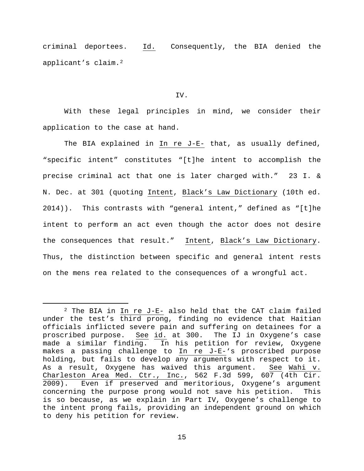criminal deportees. Id. Consequently, the BIA denied the applicant's claim.[2](#page-14-0)

#### IV.

With these legal principles in mind, we consider their application to the case at hand.

The BIA explained in In re J-E- that, as usually defined, "specific intent" constitutes "[t]he intent to accomplish the precise criminal act that one is later charged with." 23 I. & N. Dec. at 301 (quoting Intent, Black's Law Dictionary (10th ed. 2014)). This contrasts with "general intent," defined as "[t]he intent to perform an act even though the actor does not desire the consequences that result." Intent, Black's Law Dictionary. Thus, the distinction between specific and general intent rests on the mens rea related to the consequences of a wrongful act.

<span id="page-14-0"></span> <sup>2</sup> The BIA in In re J-E- also held that the CAT claim failed under the test's third prong, finding no evidence that Haitian officials inflicted severe pain and suffering on detainees for a<br>proscribed purpose. See id. at 300. The IJ in Oxygene's case proscribed purpose. See id. at 300. The IJ in Oxygene's case<br>made a similar finding. In his petition for review, Oxygene In his petition for review, Oxygene makes a passing challenge to In re J-E-'s proscribed purpose holding, but fails to develop any arguments with respect to it. As a result, Oxygene has waived this argument. See Wahi v. Charleston Area Med. Ctr., Inc., 562 F.3d 599, 607 (4th Cir. 2009). Even if preserved and meritorious, Oxygene's argument concerning the purpose prong would not save his petition. This is so because, as we explain in Part IV, Oxygene's challenge to the intent prong fails, providing an independent ground on which to deny his petition for review.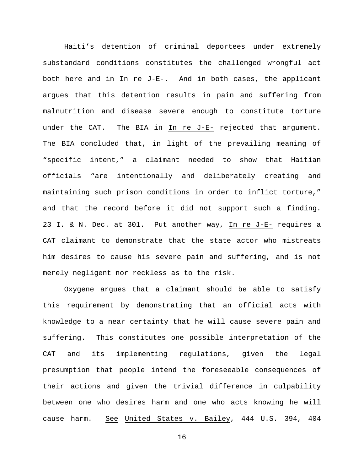Haiti's detention of criminal deportees under extremely substandard conditions constitutes the challenged wrongful act both here and in In re J-E-. And in both cases, the applicant argues that this detention results in pain and suffering from malnutrition and disease severe enough to constitute torture under the CAT. The BIA in In re J-E- rejected that argument. The BIA concluded that, in light of the prevailing meaning of "specific intent," a claimant needed to show that Haitian officials "are intentionally and deliberately creating and maintaining such prison conditions in order to inflict torture," and that the record before it did not support such a finding. 23 I. & N. Dec. at 301. Put another way, In re J-E- requires a CAT claimant to demonstrate that the state actor who mistreats him desires to cause his severe pain and suffering, and is not merely negligent nor reckless as to the risk.

Oxygene argues that a claimant should be able to satisfy this requirement by demonstrating that an official acts with knowledge to a near certainty that he will cause severe pain and suffering. This constitutes one possible interpretation of the CAT and its implementing regulations, given the legal presumption that people intend the foreseeable consequences of their actions and given the trivial difference in culpability between one who desires harm and one who acts knowing he will cause harm. See United States v. Bailey, 444 U.S. 394, 404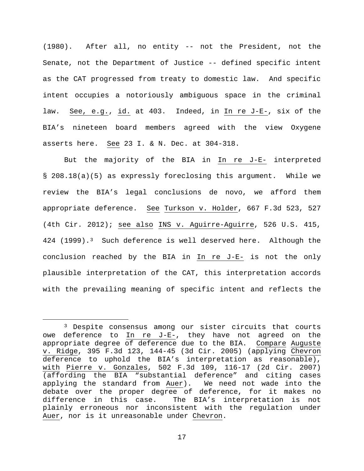(1980). After all, no entity -- not the President, not the Senate, not the Department of Justice -- defined specific intent as the CAT progressed from treaty to domestic law. And specific intent occupies a notoriously ambiguous space in the criminal law. See, e.g., id. at 403. Indeed, in In re J-E-, six of the BIA's nineteen board members agreed with the view Oxygene asserts here. See 23 I. & N. Dec. at 304-318.

But the majority of the BIA in In re J-E- interpreted § 208.18(a)(5) as expressly foreclosing this argument. While we review the BIA's legal conclusions de novo, we afford them appropriate deference. See Turkson v. Holder, 667 F.3d 523, 527 (4th Cir. 2012); see also INS v. Aguirre-Aguirre, 526 U.S. 415, 424 (1999).[3](#page-16-0) Such deference is well deserved here. Although the conclusion reached by the BIA in In re J-E- is not the only plausible interpretation of the CAT, this interpretation accords with the prevailing meaning of specific intent and reflects the

<span id="page-16-0"></span><sup>&</sup>lt;sup>3</sup> Despite consensus among our sister circuits that courts owe deference to In re J-E-, they have not agreed on the appropriate degree of deference due to the BIA. Compare Auguste v. Ridge, 395 F.3d 123, 144-45 (3d Cir. 2005) (applying Chevron deference to uphold the BIA's interpretation as reasonable), with Pierre v. Gonzales, 502 F.3d 109, 116-17 (2d Cir. 2007) (affording the BIA "substantial deference" and citing cases<br>applying the standard from Auer). We need not wade into the applying the standard from Auer). debate over the proper degree of deference, for it makes no difference in this case. The BIA's interpretation is not plainly erroneous nor inconsistent with the regulation under Auer, nor is it unreasonable under Chevron.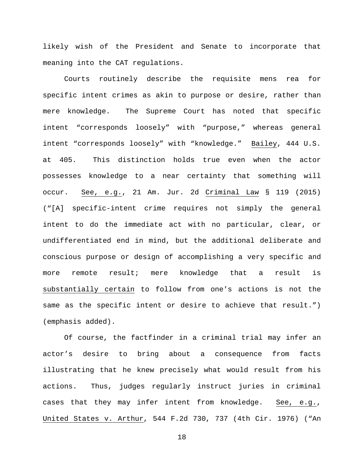likely wish of the President and Senate to incorporate that meaning into the CAT regulations.

Courts routinely describe the requisite mens rea for specific intent crimes as akin to purpose or desire, rather than mere knowledge. The Supreme Court has noted that specific intent "corresponds loosely" with "purpose," whereas general intent "corresponds loosely" with "knowledge." Bailey, 444 U.S. at 405. This distinction holds true even when the actor possesses knowledge to a near certainty that something will occur. See, e.g., 21 Am. Jur. 2d Criminal Law § 119 (2015) ("[A] specific-intent crime requires not simply the general intent to do the immediate act with no particular, clear, or undifferentiated end in mind, but the additional deliberate and conscious purpose or design of accomplishing a very specific and more remote result; mere knowledge that a result is substantially certain to follow from one's actions is not the same as the specific intent or desire to achieve that result.") (emphasis added).

Of course, the factfinder in a criminal trial may infer an actor's desire to bring about a consequence from facts illustrating that he knew precisely what would result from his actions. Thus, judges regularly instruct juries in criminal cases that they may infer intent from knowledge. See, e.g., United States v. Arthur, 544 F.2d 730, 737 (4th Cir. 1976) ("An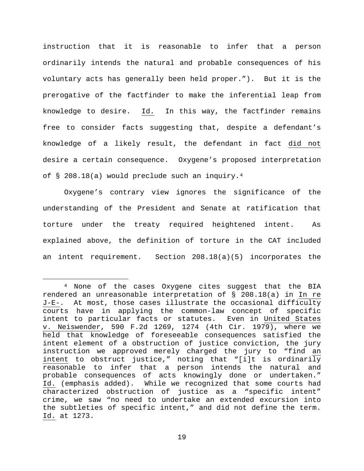instruction that it is reasonable to infer that a person ordinarily intends the natural and probable consequences of his voluntary acts has generally been held proper."). But it is the prerogative of the factfinder to make the inferential leap from knowledge to desire. Id. In this way, the factfinder remains free to consider facts suggesting that, despite a defendant's knowledge of a likely result, the defendant in fact did not desire a certain consequence. Oxygene's proposed interpretation of § 208.18(a) would preclude such an inquiry.[4](#page-18-0)

Oxygene's contrary view ignores the significance of the understanding of the President and Senate at ratification that torture under the treaty required heightened intent. As explained above, the definition of torture in the CAT included an intent requirement. Section 208.18(a)(5) incorporates the

<span id="page-18-0"></span> <sup>4</sup> None of the cases Oxygene cites suggest that the BIA rendered an unreasonable interpretation of § 208.18(a) in In re J-E-. At most, those cases illustrate the occasional difficulty courts have in applying the common-law concept of specific intent to particular facts or statutes. Even in United States v. Neiswender, 590 F.2d 1269, 1274 (4th Cir. 1979), where we held that knowledge of foreseeable consequences satisfied the intent element of a obstruction of justice conviction, the jury instruction we approved merely charged the jury to "find an intent to obstruct justice," noting that "[i]t is ordinarily reasonable to infer that a person intends the natural and probable consequences of acts knowingly done or undertaken." Id. (emphasis added). While we recognized that some courts had characterized obstruction of justice as a "specific intent" crime, we saw "no need to undertake an extended excursion into the subtleties of specific intent," and did not define the term. Id. at 1273.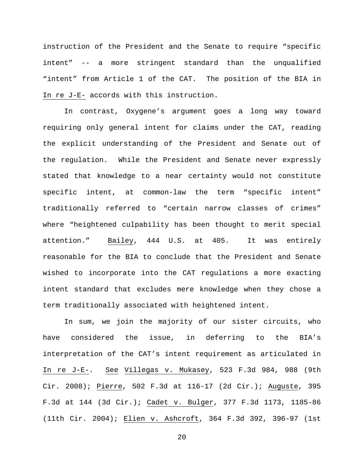instruction of the President and the Senate to require "specific intent" -- a more stringent standard than the unqualified "intent" from Article 1 of the CAT. The position of the BIA in In re J-E- accords with this instruction.

In contrast, Oxygene's argument goes a long way toward requiring only general intent for claims under the CAT, reading the explicit understanding of the President and Senate out of the regulation. While the President and Senate never expressly stated that knowledge to a near certainty would not constitute specific intent, at common-law the term "specific intent" traditionally referred to "certain narrow classes of crimes" where "heightened culpability has been thought to merit special attention." Bailey, 444 U.S. at 405. It was entirely reasonable for the BIA to conclude that the President and Senate wished to incorporate into the CAT regulations a more exacting intent standard that excludes mere knowledge when they chose a term traditionally associated with heightened intent.

In sum, we join the majority of our sister circuits, who have considered the issue, in deferring to the BIA's interpretation of the CAT's intent requirement as articulated in In re J-E-. See Villegas v. Mukasey, 523 F.3d 984, 988 (9th Cir. 2008); Pierre, 502 F.3d at 116-17 (2d Cir.); Auguste, 395 F.3d at 144 (3d Cir.); Cadet v. Bulger, 377 F.3d 1173, 1185-86 (11th Cir. 2004); Elien v. Ashcroft, 364 F.3d 392, 396-97 (1st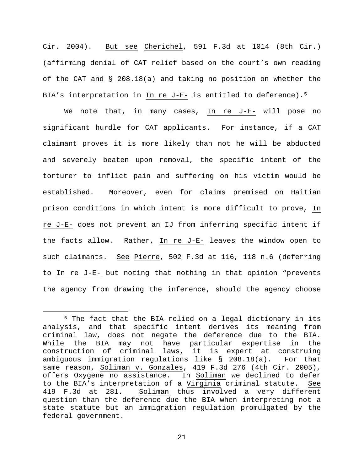Cir. 2004). But see Cherichel, 591 F.3d at 1014 (8th Cir.) (affirming denial of CAT relief based on the court's own reading of the CAT and § 208.18(a) and taking no position on whether the BIA's interpretation in  $In$  re J-E- is entitled to deference).<sup>[5](#page-20-0)</sup>

We note that, in many cases, In re J-E- will pose no significant hurdle for CAT applicants. For instance, if a CAT claimant proves it is more likely than not he will be abducted and severely beaten upon removal, the specific intent of the torturer to inflict pain and suffering on his victim would be established. Moreover, even for claims premised on Haitian prison conditions in which intent is more difficult to prove, In re J-E- does not prevent an IJ from inferring specific intent if the facts allow. Rather, In re J-E- leaves the window open to such claimants. See Pierre, 502 F.3d at 116, 118 n.6 (deferring to In re J-E- but noting that nothing in that opinion "prevents the agency from drawing the inference, should the agency choose

<span id="page-20-0"></span> <sup>5</sup> The fact that the BIA relied on a legal dictionary in its analysis, and that specific intent derives its meaning from criminal law, does not negate the deference due to the BIA. While the BIA may not have particular expertise in the construction of criminal laws, it is expert at construing ambiguous immigration regulations like § 208.18(a). For that same reason, Soliman v. Gonzales, 419 F.3d 276 (4th Cir. 2005), offers Oxygene no assistance. In Soliman we declined to defer to the BIA's interpretation of a <u>Virginia</u> criminal statute. See<br>419 F.3d at 281. Soliman thus involved a very different Soliman thus involved a very different question than the deference due the BIA when interpreting not a state statute but an immigration regulation promulgated by the federal government.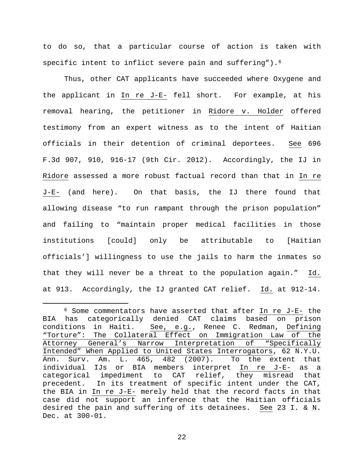to do so, that a particular course of action is taken with specific intent to inflict severe pain and suffering").<sup>6</sup>

Thus, other CAT applicants have succeeded where Oxygene and the applicant in In re J-E- fell short. For example, at his removal hearing, the petitioner in Ridore v. Holder offered testimony from an expert witness as to the intent of Haitian officials in their detention of criminal deportees. See 696 F.3d 907, 910, 916-17 (9th Cir. 2012). Accordingly, the IJ in Ridore assessed a more robust factual record than that in In re J-E- (and here). On that basis, the IJ there found that allowing disease "to run rampant through the prison population" and failing to "maintain proper medical facilities in those institutions [could] only be attributable to [Haitian officials'] willingness to use the jails to harm the inmates so that they will never be a threat to the population again." Id. at 913. Accordingly, the IJ granted CAT relief. Id. at 912-14.

<span id="page-21-0"></span> <sup>6</sup> Some commentators have asserted that after In re J-E- the BIA has categorically denied CAT claims based on prison<br>conditions in Haiti. See, e.g., Renee C. Redman, Defining See, e.g., Renee C. Redman, Defining "Torture": The Collateral Effect on Immigration Law of the<br>Attorney General's Narrow Interpretation of "Specifically General's Narrow Interpretation of Intended" When Applied to United States Interrogators, 62 N.Y.U. Ann. Surv. Am. L. 465, 482 (2007). To the extent that individual IJs or BIA members interpret In re J-E- as a categorical impediment to CAT relief, they misread that precedent. In its treatment of specific intent under the CAT, the BIA in In re J-E- merely held that the record facts in that case did not support an inference that the Haitian officials desired the pain and suffering of its detainees. See 23 I. & N. Dec. at 300-01.